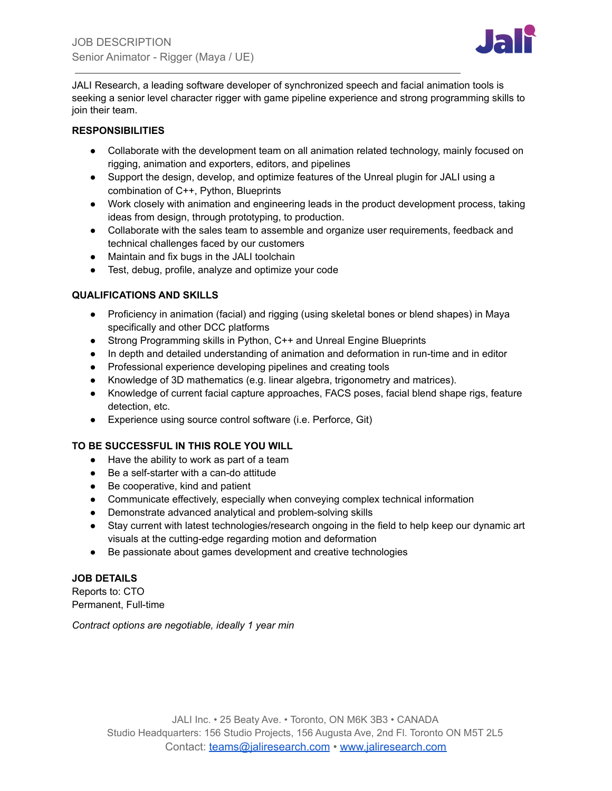

JALI Research, a leading software developer of synchronized speech and facial animation tools is seeking a senior level character rigger with game pipeline experience and strong programming skills to join their team.

# **RESPONSIBILITIES**

- Collaborate with the development team on all animation related technology, mainly focused on rigging, animation and exporters, editors, and pipelines
- Support the design, develop, and optimize features of the Unreal plugin for JALI using a combination of C++, Python, Blueprints
- Work closely with animation and engineering leads in the product development process, taking ideas from design, through prototyping, to production.
- Collaborate with the sales team to assemble and organize user requirements, feedback and technical challenges faced by our customers
- Maintain and fix bugs in the JALI toolchain
- Test, debug, profile, analyze and optimize your code

# **QUALIFICATIONS AND SKILLS**

- Proficiency in animation (facial) and rigging (using skeletal bones or blend shapes) in Maya specifically and other DCC platforms
- Strong Programming skills in Python, C++ and Unreal Engine Blueprints
- In depth and detailed understanding of animation and deformation in run-time and in editor
- Professional experience developing pipelines and creating tools
- Knowledge of 3D mathematics (e.g. linear algebra, trigonometry and matrices).
- Knowledge of current facial capture approaches, FACS poses, facial blend shape rigs, feature detection, etc.
- Experience using source control software (i.e. Perforce, Git)

# **TO BE SUCCESSFUL IN THIS ROLE YOU WILL**

- Have the ability to work as part of a team
- Be a self-starter with a can-do attitude
- Be cooperative, kind and patient
- Communicate effectively, especially when conveying complex technical information
- Demonstrate advanced analytical and problem-solving skills
- Stay current with latest technologies/research ongoing in the field to help keep our dynamic art visuals at the cutting-edge regarding motion and deformation
- Be passionate about games development and creative technologies

# **JOB DETAILS**

Reports to: CTO Permanent, Full-time

*Contract options are negotiable, ideally 1 year min*